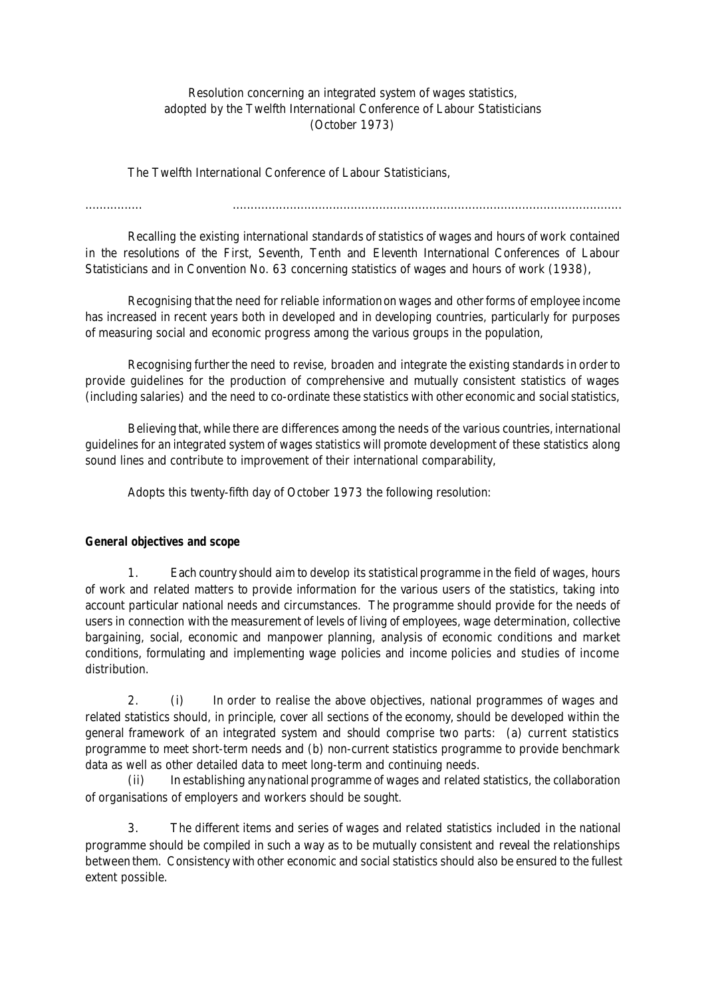## Resolution concerning an integrated system of wages statistics, adopted by the Twelfth International Conference of Labour Statisticians (October 1973)

The Twelfth International Conference of Labour Statisticians,

................ .............................................................................................................

Recalling the existing international standards of statistics of wages and hours of work contained in the resolutions of the First, Seventh, Tenth and Eleventh International Conferences of Labour Statisticians and in Convention No. 63 concerning statistics of wages and hours of work (1938),

Recognising that the need for reliable information on wages and other forms of employee income has increased in recent years both in developed and in developing countries, particularly for purposes of measuring social and economic progress among the various groups in the population,

Recognising further the need to revise, broaden and integrate the existing standards in order to provide guidelines for the production of comprehensive and mutually consistent statistics of wages (including salaries) and the need to co-ordinate these statistics with other economic and social statistics,

Believing that, while there are differences among the needs of the various countries, international guidelines for an integrated system of wages statistics will promote development of these statistics along sound lines and contribute to improvement of their international comparability,

Adopts this twenty-fifth day of October 1973 the following resolution:

### **General objectives and scope**

1. Each country should aim to develop its statistical programme in the field of wages, hours of work and related matters to provide information for the various users of the statistics, taking into account particular national needs and circumstances. The programme should provide for the needs of users in connection with the measurement of levels of living of employees, wage determination, collective bargaining, social, economic and manpower planning, analysis of economic conditions and market conditions, formulating and implementing wage policies and income policies and studies of income distribution.

2. (i) In order to realise the above objectives, national programmes of wages and related statistics should, in principle, cover all sections of the economy, should be developed within the general framework of an integrated system and should comprise two parts: (a) current statistics programme to meet short-term needs and (b) non-current statistics programme to provide benchmark data as well as other detailed data to meet long-term and continuing needs.

(ii) In establishing anynational programme of wages and related statistics, the collaboration of organisations of employers and workers should be sought.

3. The different items and series of wages and related statistics included in the national programme should be compiled in such a way as to be mutually consistent and reveal the relationships between them. Consistency with other economic and social statistics should also be ensured to the fullest extent possible.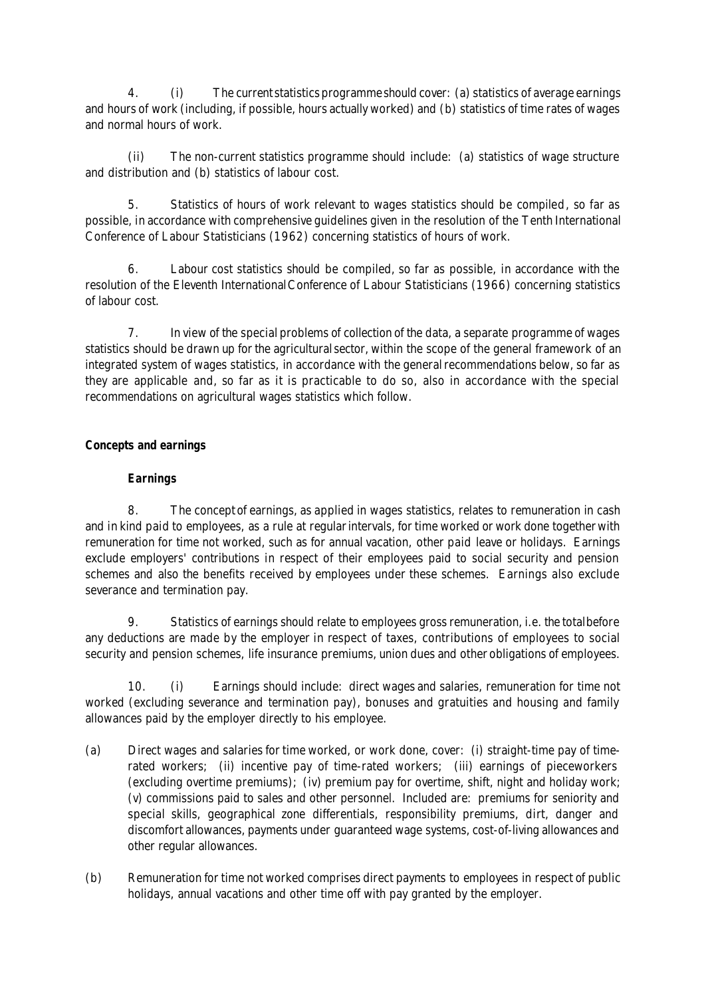4. (i) The current statisticsprogramme should cover: (a) statistics of average earnings and hours of work (including, if possible, hours actually worked) and (b) statistics of time rates of wages and normal hours of work.

(ii) The non-current statistics programme should include: (a) statistics of wage structure and distribution and (b) statistics of labour cost.

5. Statistics of hours of work relevant to wages statistics should be compiled, so far as possible, in accordance with comprehensive guidelines given in the resolution of the Tenth International Conference of Labour Statisticians (1962) concerning statistics of hours of work.

6. Labour cost statistics should be compiled, so far as possible, in accordance with the resolution of the Eleventh InternationalConference of Labour Statisticians (1966) concerning statistics of labour cost.

7. In view of the special problems of collection of the data, a separate programme of wages statistics should be drawn up forthe agricultural sector, within the scope of the general framework of an integrated system of wages statistics, in accordance with the generalrecommendations below, so far as they are applicable and, so far as it is practicable to do so, also in accordance with the special recommendations on agricultural wages statistics which follow.

## **Concepts and earnings**

# **Earnings**

8. The concept of earnings, as applied in wages statistics, relates to remuneration in cash and in kind paid to employees, as a rule at regular intervals, for time worked or work done together with remuneration for time not worked, such as for annual vacation, other paid leave or holidays. Earnings exclude employers' contributions in respect of their employees paid to social security and pension schemes and also the benefits received by employees under these schemes. Earnings also exclude severance and termination pay.

9. Statistics of earnings should relate to employees gross remuneration, i.e. the totalbefore any deductions are made by the employer in respect of taxes, contributions of employees to social security and pension schemes, life insurance premiums, union dues and other obligations of employees.

10. (i) Earnings should include: direct wages and salaries, remuneration for time not worked (excluding severance and termination pay), bonuses and gratuities and housing and family allowances paid by the employer directly to his employee.

- (a) Direct wages and salaries fortime worked, or work done, cover: (i) straight-time pay of timerated workers; (ii) incentive pay of time-rated workers; (iii) earnings of pieceworkers (excluding overtime premiums); (iv) premium pay for overtime, shift, night and holiday work; (v) commissions paid to sales and other personnel. Included are: premiums for seniority and special skills, geographical zone differentials, responsibility premiums, dirt, danger and discomfort allowances, payments under guaranteed wage systems, cost-of-living allowances and other regular allowances.
- (b) Remuneration fortime not worked comprises direct payments to employees in respect of public holidays, annual vacations and other time off with pay granted by the employer.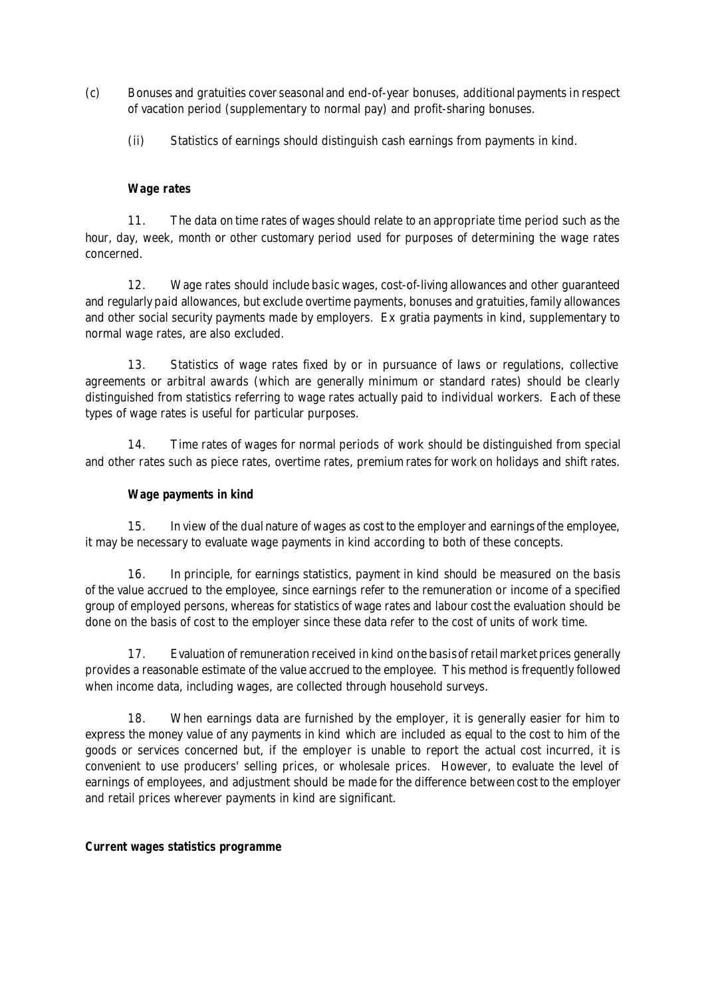- (c) Bonuses and gratuities cover seasonal and end-of-year bonuses, additionalpayments in respect of vacation period (supplementary to normal pay) and profit-sharing bonuses.
	- (ii) Statistics of earnings should distinguish cash earnings from payments in kind.

### **Wage rates**

11. The data on time rates of wages should relate to an appropriate time period such as the hour, day, week, month or other customary period used for purposes of determining the wage rates concerned.

12. Wage rates should include basicwages, cost-of-living allowances and other guaranteed and regularly paid allowances, but exclude overtime payments, bonuses and gratuities, family allowances and other social security payments made by employers. Ex gratia payments in kind, supplementary to normal wage rates, are also excluded.

13. Statistics of wage rates fixed by or in pursuance of laws or regulations, collective agreements or arbitral awards (which are generally minimum or standard rates) should be clearly distinguished from statistics referring to wage rates actually paid to individual workers. Each of these types of wage rates is useful for particular purposes.

14. Time rates of wages for normal periods of work should be distinguished from special and other rates such as piece rates, overtime rates, premium rates for work on holidays and shift rates.

### **Wage payments in kind**

15. In view of the dual nature of wages as cost to the employer and earningsof the employee, it may be necessary to evaluate wage payments in kind according to both of these concepts.

16. In principle, for earnings statistics, payment in kind should be measured on the basis of the value accrued to the employee, since earnings refer to the remuneration or income of a specified group of employed persons, whereas for statistics of wage rates and labour cost the evaluation should be done on the basis of cost to the employer since these data refer to the cost of units of work time.

17. Evaluation of remuneration received in kind onthe basisof retailmarket prices generally provides a reasonable estimate of the value accrued to the employee. This method is frequently followed when income data, including wages, are collected through household surveys.

18. When earnings data are furnished by the employer, it is generally easier for him to express the money value of any payments in kind which are included as equal to the cost to him of the goods or services concerned but, if the employer is unable to report the actual cost incurred, it is convenient to use producers' selling prices, or wholesale prices. However, to evaluate the level of earnings of employees, and adjustment should be made for the difference between cost to the employer and retail prices wherever payments in kind are significant.

### **Current wages statistics programme**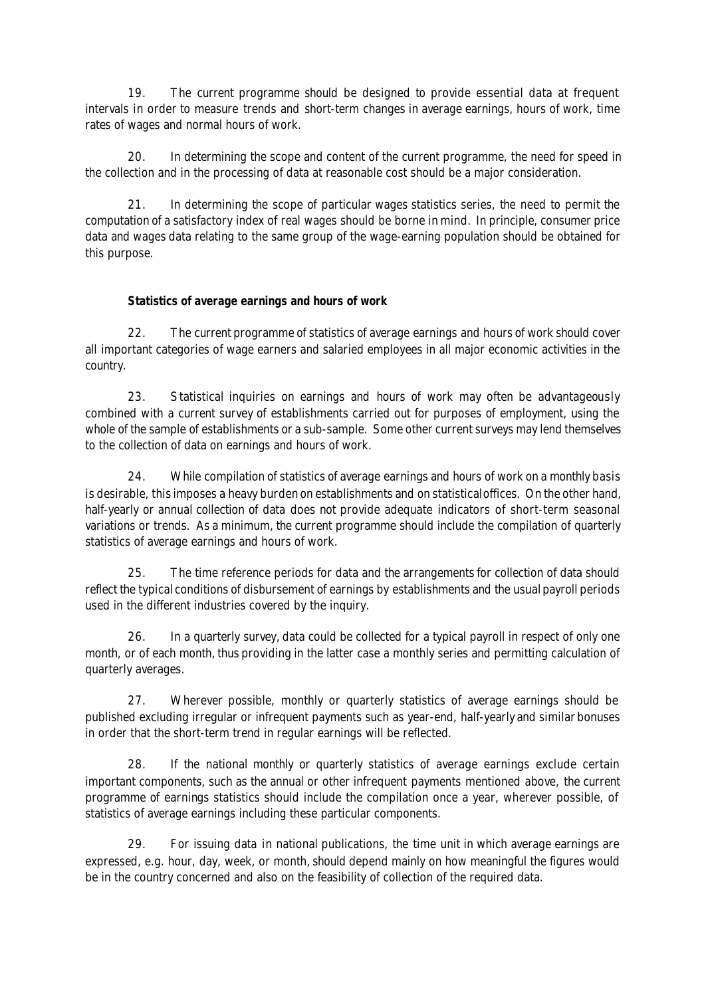19. The current programme should be designed to provide essential data at frequent intervals in order to measure trends and short-term changes in average earnings, hours of work, time rates of wages and normal hours of work.

20. In determining the scope and content of the current programme, the need for speed in the collection and in the processing of data at reasonable cost should be a major consideration.

21. In determining the scope of particular wages statistics series, the need to permit the computation of a satisfactory index of real wages should be borne in mind. In principle, consumer price data and wages data relating to the same group of the wage-earning population should be obtained for this purpose.

### **Statistics of average earnings and hours of work**

22. The current programme of statistics of average earnings and hours of work should cover all important categories of wage earners and salaried employees in all major economic activities in the country.

23. Statistical inquiries on earnings and hours of work may often be advantageously combined with a current survey of establishments carried out for purposes of employment, using the whole of the sample of establishments or a sub-sample. Some other current surveys may lend themselves to the collection of data on earnings and hours of work.

24. While compilation of statistics of average earnings and hours of work on a monthly basis is desirable, this imposes a heavy burden on establishments and on statisticaloffices. On the other hand, half-yearly or annual collection of data does not provide adequate indicators of short-term seasonal variations or trends. As a minimum, the current programme should include the compilation of quarterly statistics of average earnings and hours of work.

25. The time reference periods for data and the arrangements for collection of data should reflect the typical conditions of disbursement of earnings by establishments and the usual payroll periods used in the different industries covered by the inquiry.

26. In a quarterly survey, data could be collected for a typical payroll in respect of only one month, or of each month, thus providing in the latter case a monthly series and permitting calculation of quarterly averages.

27. Wherever possible, monthly or quarterly statistics of average earnings should be published excluding irregular or infrequent payments such as year-end, half-yearly and similar bonuses in order that the short-term trend in regular earnings will be reflected.

28. If the national monthly or quarterly statistics of average earnings exclude certain important components, such as the annual or other infrequent payments mentioned above, the current programme of earnings statistics should include the compilation once a year, wherever possible, of statistics of average earnings including these particular components.

29. For issuing data in national publications, the time unit in which average earnings are expressed, e.g. hour, day, week, or month, should depend mainly on how meaningful the figures would be in the country concerned and also on the feasibility of collection of the required data.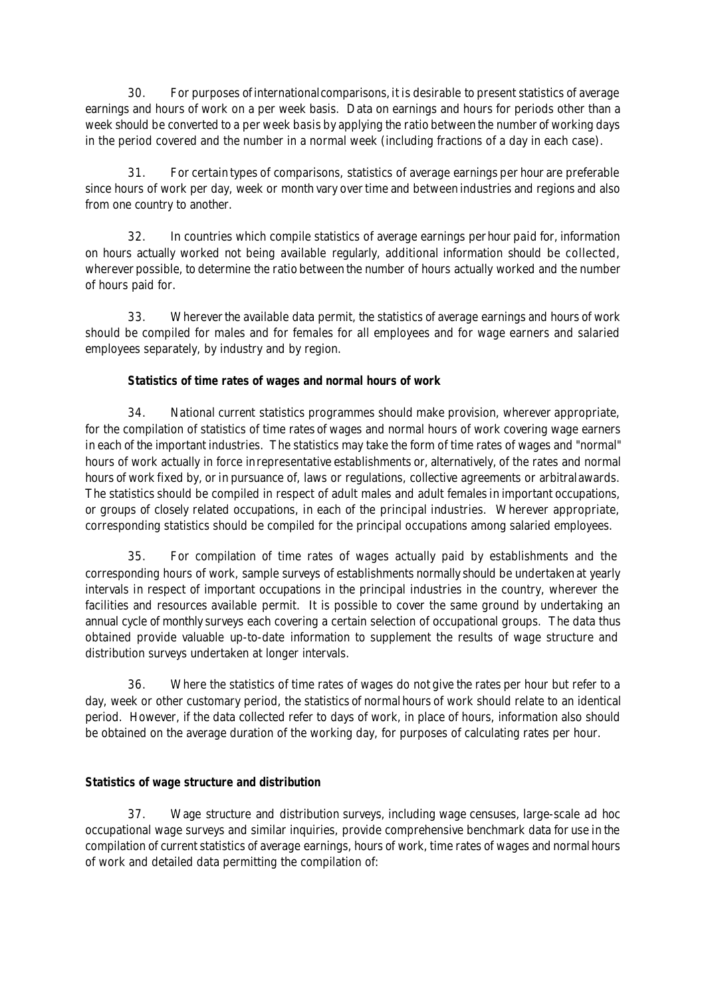30. For purposes of international comparisons, it is desirable to present statistics of average earnings and hours of work on a per week basis. Data on earnings and hours for periods other than a week should be converted to a perweek basis by applying the ratio between the number of working days in the period covered and the number in a normal week (including fractions of a day in each case).

31. For certain types of comparisons, statistics of average earnings per hour are preferable since hours of work per day, week or month vary over time and between industries and regions and also from one country to another.

32. In countries which compile statistics of average earnings perhour paid for, information on hours actually worked not being available regularly, additional information should be collected, wherever possible, to determine the ratio between the number of hours actually worked and the number of hours paid for.

33. Whereverthe available data permit, the statistics of average earnings and hours of work should be compiled for males and for females for all employees and for wage earners and salaried employees separately, by industry and by region.

### **Statistics of time rates of wages and normal hours of work**

34. National current statistics programmes should make provision, wherever appropriate, for the compilation of statistics of time rates of wages and normal hours of work covering wage earners in each of the important industries. The statistics may take the form of time rates of wages and "normal" hours of work actually in force inrepresentative establishments or, alternatively, of the rates and normal hours of work fixed by, or in pursuance of, laws or regulations, collective agreements or arbitralawards. The statistics should be compiled in respect of adult males and adult females in important occupations, or groups of closely related occupations, in each of the principal industries. Wherever appropriate, corresponding statistics should be compiled for the principal occupations among salaried employees.

35. For compilation of time rates of wages actually paid by establishments and the corresponding hours of work, sample surveys of establishments normally should be undertaken at yearly intervals in respect of important occupations in the principal industries in the country, wherever the facilities and resources available permit. It is possible to cover the same ground by undertaking an annual cycle of monthly surveys each covering a certain selection of occupational groups. The data thus obtained provide valuable up-to-date information to supplement the results of wage structure and distribution surveys undertaken at longer intervals.

36. Where the statistics of time rates of wages do not give the rates per hour but refer to a day, week or other customary period, the statistics of normalhours of work should relate to an identical period. However, if the data collected refer to days of work, in place of hours, information also should be obtained on the average duration of the working day, for purposes of calculating rates per hour.

## **Statistics of wage structure and distribution**

37. Wage structure and distribution surveys, including wage censuses, large-scale ad hoc occupational wage surveys and similar inquiries, provide comprehensive benchmark data for use in the compilation of current statistics of average earnings, hours of work, time rates of wages and normalhours of work and detailed data permitting the compilation of: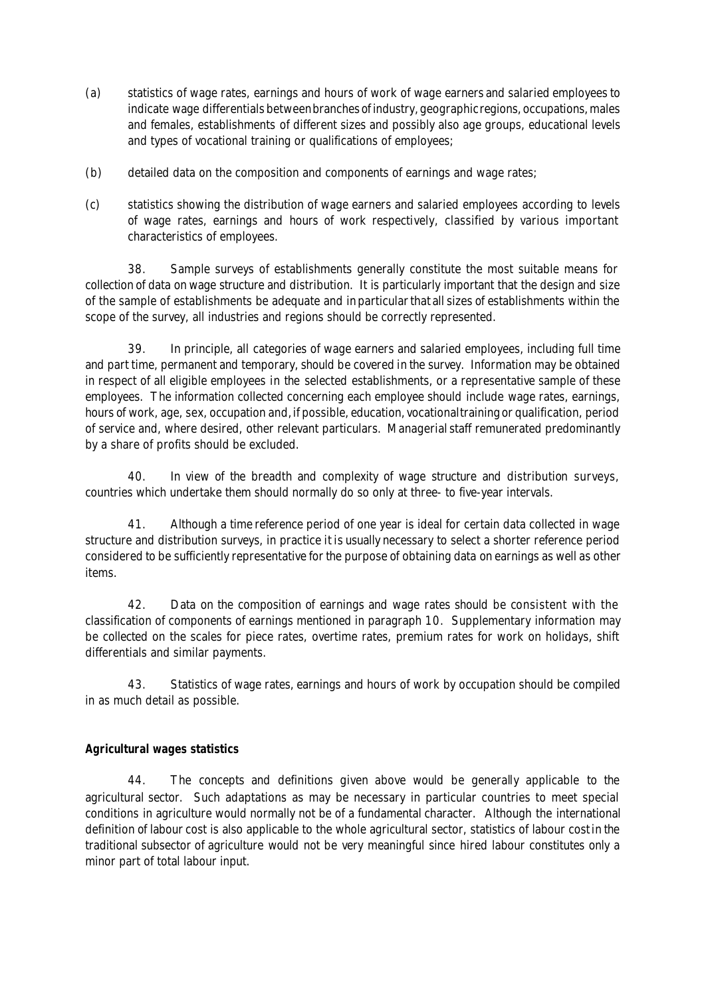- (a) statistics of wage rates, earnings and hours of work of wage earners and salaried employees to indicate wage differentials between branches of industry, geographic regions, occupations, males and females, establishments of different sizes and possibly also age groups, educational levels and types of vocational training or qualifications of employees;
- (b) detailed data on the composition and components of earnings and wage rates;
- (c) statistics showing the distribution of wage earners and salaried employees according to levels of wage rates, earnings and hours of work respectively, classified by various important characteristics of employees.

38. Sample surveys of establishments generally constitute the most suitable means for collection of data on wage structure and distribution. It is particularly important that the design and size of the sample of establishments be adequate and inparticularthat all sizes of establishments within the scope of the survey, all industries and regions should be correctly represented.

39. In principle, all categories of wage earners and salaried employees, including full time and part time, permanent and temporary, should be covered in the survey. Information may be obtained in respect of all eligible employees in the selected establishments, or a representative sample of these employees. The information collected concerning each employee should include wage rates, earnings, hours of work, age, sex, occupation and, if possible, education, vocational training or qualification, period of service and, where desired, other relevant particulars. Managerial staff remunerated predominantly by a share of profits should be excluded.

40. In view of the breadth and complexity of wage structure and distribution surveys, countries which undertake them should normally do so only at three- to five-year intervals.

41. Although a time reference period of one year is ideal for certain data collected in wage structure and distribution surveys, in practice it is usually necessary to select a shorter reference period considered to be sufficiently representative for the purpose of obtaining data on earnings as well as other items.

42. Data on the composition of earnings and wage rates should be consistent with the classification of components of earnings mentioned in paragraph 10. Supplementary information may be collected on the scales for piece rates, overtime rates, premium rates for work on holidays, shift differentials and similar payments.

43. Statistics of wage rates, earnings and hours of work by occupation should be compiled in as much detail as possible.

### **Agricultural wages statistics**

44. The concepts and definitions given above would be generally applicable to the agricultural sector. Such adaptations as may be necessary in particular countries to meet special conditions in agriculture would normally not be of a fundamental character. Although the international definition of labour cost is also applicable to the whole agricultural sector, statistics of labour costin the traditional subsector of agriculture would not be very meaningful since hired labour constitutes only a minor part of total labour input.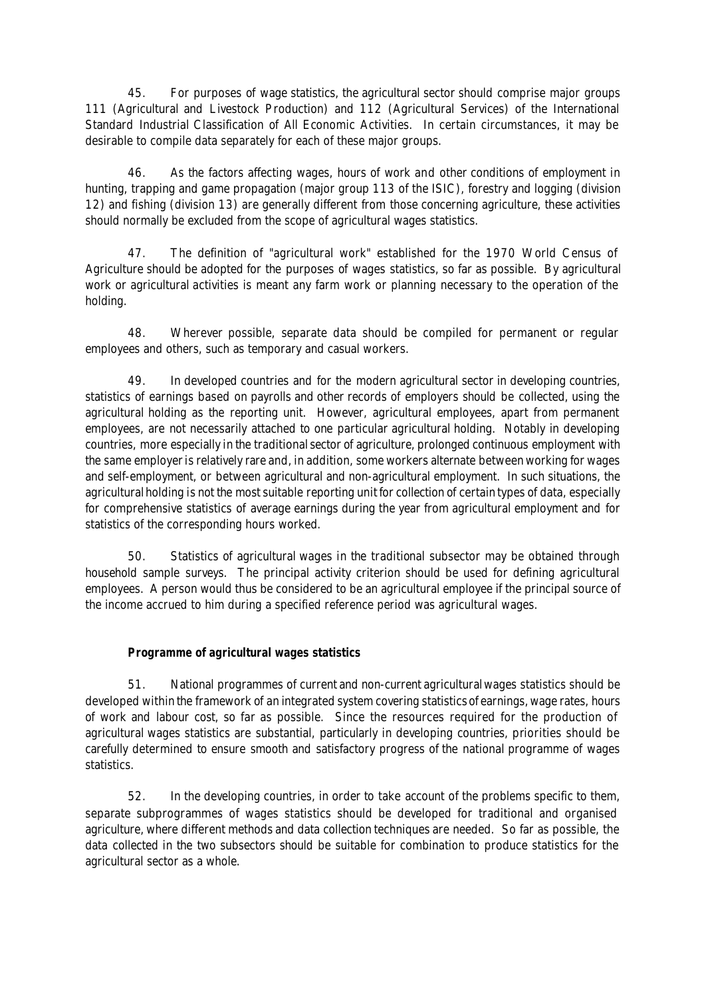45. For purposes of wage statistics, the agricultural sector should comprise major groups 111 (Agricultural and Livestock Production) and 112 (Agricultural Services) of the International Standard Industrial Classification of All Economic Activities. In certain circumstances, it may be desirable to compile data separately for each of these major groups.

46. As the factors affecting wages, hours of work and other conditions of employment in hunting, trapping and game propagation (major group 113 of the ISIC), forestry and logging (division 12) and fishing (division 13) are generally different from those concerning agriculture, these activities should normally be excluded from the scope of agricultural wages statistics.

47. The definition of "agricultural work" established for the 1970 World Census of Agriculture should be adopted for the purposes of wages statistics, so far as possible. By agricultural work or agricultural activities is meant any farm work or planning necessary to the operation of the holding.

48. Wherever possible, separate data should be compiled for permanent or regular employees and others, such as temporary and casual workers.

49. In developed countries and for the modern agricultural sector in developing countries, statistics of earnings based on payrolls and other records of employers should be collected, using the agricultural holding as the reporting unit. However, agricultural employees, apart from permanent employees, are not necessarily attached to one particular agricultural holding. Notably in developing countries, more especially in the traditional sector of agriculture, prolonged continuous employment with the same employer is relatively rare and, in addition, some workers alternate between working for wages and self-employment, or between agricultural and non-agricultural employment. In such situations, the agricultural holding is not the most suitable reporting unit for collection of certain types of data, especially for comprehensive statistics of average earnings during the year from agricultural employment and for statistics of the corresponding hours worked.

50. Statistics of agricultural wages in the traditional subsector may be obtained through household sample surveys. The principal activity criterion should be used for defining agricultural employees. A person would thus be considered to be an agricultural employee if the principal source of the income accrued to him during a specified reference period was agricultural wages.

### **Programme of agricultural wages statistics**

51. National programmes of current and non-current agriculturalwages statistics should be developed within the framework of an integrated system covering statistics of earnings, wage rates, hours of work and labour cost, so far as possible. Since the resources required for the production of agricultural wages statistics are substantial, particularly in developing countries, priorities should be carefully determined to ensure smooth and satisfactory progress of the national programme of wages statistics.

52. In the developing countries, in order to take account of the problems specific to them, separate subprogrammes of wages statistics should be developed for traditional and organised agriculture, where different methods and data collection techniques are needed. So far as possible, the data collected in the two subsectors should be suitable for combination to produce statistics for the agricultural sector as a whole.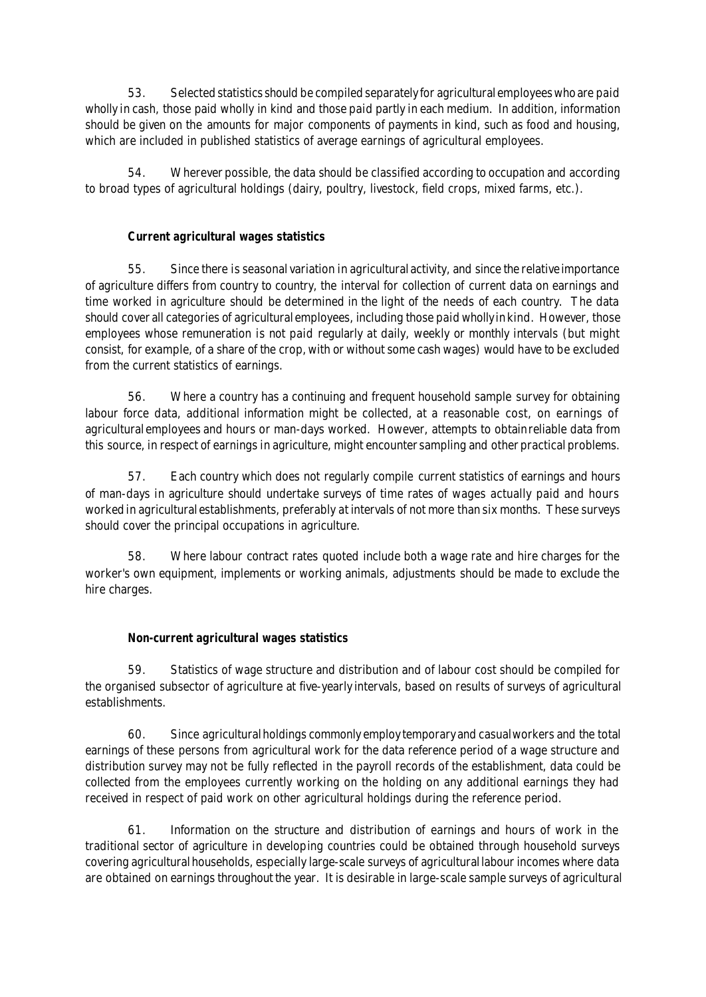53. Selected statistics should be compiledseparately for agricultural employeeswhoare paid wholly in cash, those paid wholly in kind and those paid partly in each medium. In addition, information should be given on the amounts for major components of payments in kind, such as food and housing, which are included in published statistics of average earnings of agricultural employees.

54. Wherever possible, the data should be classified according to occupation and according to broad types of agricultural holdings (dairy, poultry, livestock, field crops, mixed farms, etc.).

## **Current agricultural wages statistics**

55. Since there is seasonalvariation in agricultural activity, and since the relative importance of agriculture differs from country to country, the interval for collection of current data on earnings and time worked in agriculture should be determined in the light of the needs of each country. The data should cover all categories of agricultural employees, including those paidwhollyinkind. However, those employees whose remuneration is not paid regularly at daily, weekly or monthly intervals (but might consist, for example, of a share of the crop, with or without some cash wages) would have to be excluded from the current statistics of earnings.

56. Where a country has a continuing and frequent household sample survey for obtaining labour force data, additional information might be collected, at a reasonable cost, on earnings of agricultural employees and hours or man-days worked. However, attempts to obtainreliable data from this source, in respect of earnings in agriculture, might encounter sampling and other practical problems.

57. Each country which does not regularly compile current statistics of earnings and hours of man-days in agriculture should undertake surveys of time rates of wages actually paid and hours workedin agricultural establishments, preferably at intervals of not more than six months. These surveys should cover the principal occupations in agriculture.

58. Where labour contract rates quoted include both a wage rate and hire charges for the worker's own equipment, implements or working animals, adjustments should be made to exclude the hire charges.

## **Non-current agricultural wages statistics**

59. Statistics of wage structure and distribution and of labour cost should be compiled for the organised subsector of agriculture at five-yearly intervals, based on results of surveys of agricultural establishments.

60. Since agriculturalholdings commonly employ temporary and casualworkers and the total earnings of these persons from agricultural work for the data reference period of a wage structure and distribution survey may not be fully reflected in the payroll records of the establishment, data could be collected from the employees currently working on the holding on any additional earnings they had received in respect of paid work on other agricultural holdings during the reference period.

61. Information on the structure and distribution of earnings and hours of work in the traditional sector of agriculture in developing countries could be obtained through household surveys covering agriculturalhouseholds, especially large-scale surveys of agriculturallabour incomes where data are obtained on earnings throughout the year. It is desirable in large-scale sample surveys of agricultural